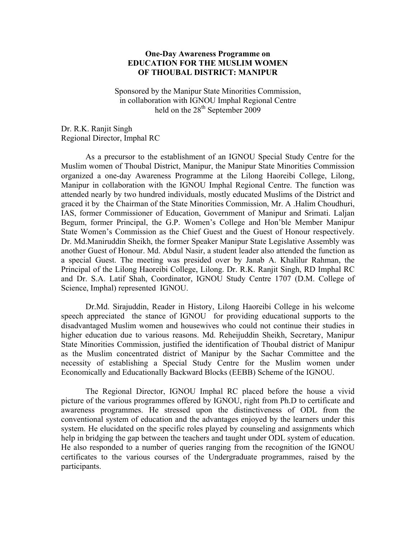## **One-Day Awareness Programme on EDUCATION FOR THE MUSLIM WOMEN OF THOUBAL DISTRICT: MANIPUR**

Sponsored by the Manipur State Minorities Commission, in collaboration with IGNOU Imphal Regional Centre held on the  $28<sup>th</sup>$  September 2009

Dr. R.K. Ranjit Singh Regional Director, Imphal RC

As a precursor to the establishment of an IGNOU Special Study Centre for the Muslim women of Thoubal District, Manipur, the Manipur State Minorities Commission organized a one-day Awareness Programme at the Lilong Haoreibi College, Lilong, Manipur in collaboration with the IGNOU Imphal Regional Centre. The function was attended nearly by two hundred individuals, mostly educated Muslims of the District and graced it by the Chairman of the State Minorities Commission, Mr. A .Halim Choudhuri, IAS, former Commissioner of Education, Government of Manipur and Srimati. Laljan Begum, former Principal, the G.P. Women's College and Hon'ble Member Manipur State Women's Commission as the Chief Guest and the Guest of Honour respectively. Dr. Md.Maniruddin Sheikh, the former Speaker Manipur State Legislative Assembly was another Guest of Honour. Md. Abdul Nasir, a student leader also attended the function as a special Guest. The meeting was presided over by Janab A. Khalilur Rahman, the Principal of the Lilong Haoreibi College, Lilong. Dr. R.K. Ranjit Singh, RD Imphal RC and Dr. S.A. Latif Shah, Coordinator, IGNOU Study Centre 1707 (D.M. College of Science, Imphal) represented IGNOU.

 Dr.Md. Sirajuddin, Reader in History, Lilong Haoreibi College in his welcome speech appreciated the stance of IGNOU for providing educational supports to the disadvantaged Muslim women and housewives who could not continue their studies in higher education due to various reasons. Md. Reheijuddin Sheikh, Secretary, Manipur State Minorities Commission, justified the identification of Thoubal district of Manipur as the Muslim concentrated district of Manipur by the Sachar Committee and the necessity of establishing a Special Study Centre for the Muslim women under Economically and Educationally Backward Blocks (EEBB) Scheme of the IGNOU.

The Regional Director, IGNOU Imphal RC placed before the house a vivid picture of the various programmes offered by IGNOU, right from Ph.D to certificate and awareness programmes. He stressed upon the distinctiveness of ODL from the conventional system of education and the advantages enjoyed by the learners under this system. He elucidated on the specific roles played by counseling and assignments which help in bridging the gap between the teachers and taught under ODL system of education. He also responded to a number of queries ranging from the recognition of the IGNOU certificates to the various courses of the Undergraduate programmes, raised by the participants.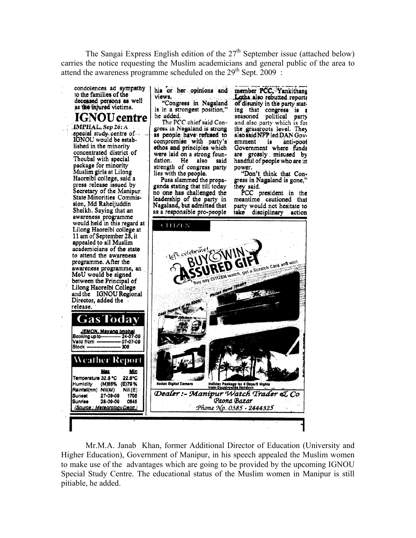The Sangai Express English edition of the 27<sup>th</sup> September issue (attached below) carries the notice requesting the Muslim academicians and general public of the area to attend the awareness programme scheduled on the  $29<sup>th</sup>$  Sept. 2009:

condolences ad sympathy to the families of the deceased persons as well as the injured victims.

**IGNOU** centre IMPHAL, Sep 26: A special study centre of<br>IGNOU would be established in the minority concentrated district of Thoubal with special package for minority<br>Muslim girls at Lilong<br>Haoreibi college, said a press release issued by Secretary of the Manipur **State Minorities Commis**sion, Md Raheijuddin Sheikh. Saying that an awareness programme would held in this regard at Lilong Haoreibi college at<br>11 am of September 28, it appealed to all Muslim academicians of the state to attend the awareness programme. After the awareness programme, an MoU would be signed between the Principal of Lilong Haoreibi College<br>and the IGNOU Regional Director, added the release.

Stock

Humidity

Sunset

Sunrise

(Source

his or her opinions and views. "Congress in Nagaland is in a strongest position.' he added.

The PCC chief said Congress in Nagaland is strong as people have refused to compromise with party's ethos and principles which were laid on a strong foundation. He also said strength of congress party lies with the people.

Pusa slammed the propaganda stating that till today no one has challenged the leadership of the party in<br>Nagaland, but admitted that as a responsible pro-people

member PCC. Yankithans Lotha also rebutted reports of disunity in the party stating that congress is a seasoned political party and also party which is for the grassroots level. They also said NFP led DAN Government is anti-pool Government where funds are grossly misused by<br>handful of people who are in power.

"Don't think that Congress in Nagaland is gone.' they said.

PCC president in the meantime cautioned that party would not hesitate to take disciplinary action



Mr.M.A. Janab Khan, former Additional Director of Education (University and Higher Education), Government of Manipur, in his speech appealed the Muslim women to make use of the advantages which are going to be provided by the upcoming IGNOU Special Study Centre. The educational status of the Muslim women in Manipur is still pitiable, he added.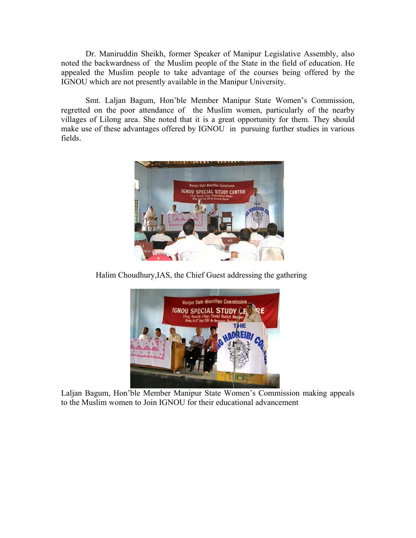Dr. Maniruddin Sheikh, former Speaker of Manipur Legislative Assembly, also noted the backwardness of the Muslim people of the State in the field of education. He appealed the Muslim people to take advantage of the courses being offered by the IGNOU which are not presently available in the Manipur University.

Smt. Laljan Bagum, Hon'ble Member Manipur State Women's Commission, regretted on the poor attendance of the Muslim women, particularly of the nearby villages of Lilong area. She noted that it is a great opportunity for them. They should make use of these advantages offered by IGNOU in pursuing further studies in various fields.



Halim Choudhury,IAS, the Chief Guest addressing the gathering



Laljan Bagum, Hon'ble Member Manipur State Women's Commission making appeals to the Muslim women to Join IGNOU for their educational advancement